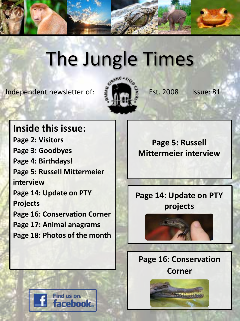

# The Jungle Times

Independent newsletter of:  $\frac{3}{2}$   $\frac{1}{2}$  Est. 2008 Issue: 81



### **Inside this issue:**

**Page 2: Visitors Page 3: Goodbyes Page 4: Birthdays! Page 5: Russell Mittermeier interview Page 14: Update on PTY Projects Page 16: Conservation Corner Page 17: Animal anagrams Page 18: Photos of the month**

**Page 5: Russell Mittermeier interview**

### **Page 14: Update on PTY projects**



**Page 16: Conservation Corner**



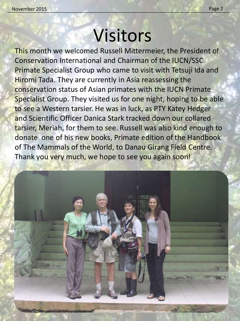# Visitors

This month we welcomed Russell Mittermeier, the President of Conservation International and Chairman of the IUCN/SSC Primate Specialist Group who came to visit with Tetsuji Ida and Hiromi Tada. They are currently in Asia reassessing the conservation status of Asian primates with the IUCN Primate Specialist Group. They visited us for one night, hoping to be able to see a Western tarsier. He was in luck, as PTY Katey Hedger and Scientific Officer Danica Stark tracked down our collared tarsier, Meriah, for them to see. Russell was also kind enough to donate one of his new books, Primate edition of the Handbook of The Mammals of the World, to Danau Girang Field Centre. Thank you very much, we hope to see you again soon!

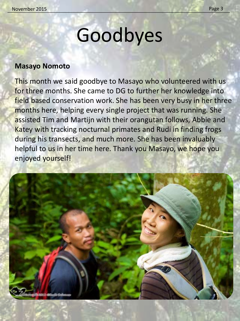# Goodbyes

#### **Masayo Nomoto**

This month we said goodbye to Masayo who volunteered with us for three months. She came to DG to further her knowledge into field based conservation work. She has been very busy in her three months here, helping every single project that was running. She assisted Tim and Martijn with their orangutan follows, Abbie and Katey with tracking nocturnal primates and Rudi in finding frogs during his transects, and much more. She has been invaluably helpful to us in her time here. Thank you Masayo, we hope you enjoyed yourself!

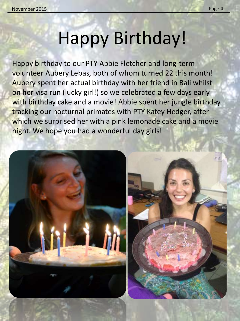# Happy Birthday!

Happy birthday to our PTY Abbie Fletcher and long-term volunteer Aubery Lebas, both of whom turned 22 this month! Aubery spent her actual birthday with her friend in Bali whilst on her visa run (lucky girl!) so we celebrated a few days early with birthday cake and a movie! Abbie spent her jungle birthday tracking our nocturnal primates with PTY Katey Hedger, after which we surprised her with a pink lemonade cake and a movie night. We hope you had a wonderful day girls!

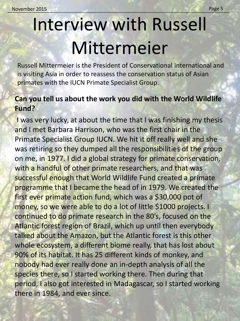# Interview with Russell Mittermeier

Russell Mittermeier is the President of Conservational International and is visiting Asia in order to reassess the conservation status of Asian primates with the IUCN Primate Specialist Group.

#### **Can you tell us about the work you did with the World Wildlife Fund?**

I was very lucky, at about the time that I was finishing my thesis and I met Barbara Harrison, who was the first chair in the Primate Specialist Group IUCN. We hit it off really well and she was retiring so they dumped all the responsibilities of the group on me, in 1977. I did a global strategy for primate conservation, with a handful of other primate researchers, and that was successful enough that World Wildlife Fund created a primate programme that I became the head of in 1979. We created the first ever primate action fund, which was a \$30,000 pot of money, so we were able to do a lot of little \$1000 projects. I continued to do primate research in the 80's, focused on the Atlantic forest region of Brazil, which up until then everybody talked about the Amazon, but the Atlantic forest is this other whole ecosystem, a different biome really, that has lost about 90% of its habitat. It has 25 different kinds of monkey, and nobody had ever really done an in-depth analysis of all the species there, so I started working there. Then during that period, I also got interested in Madagascar, so I started working there in 1984, and ever since.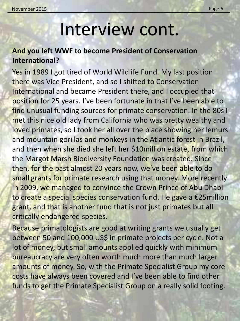### Interview cont.

### **And you left WWF to become President of Conservation International?**

Yes in 1989 I got tired of World Wildlife Fund. My last position there was Vice President, and so I shifted to Conservation International and became President there, and I occupied that position for 25 years. I've been fortunate in that I've been able to find unusual funding sources for primate conservation. In the 80s I met this nice old lady from California who was pretty wealthy and loved primates, so I took her all over the place showing her lemurs and mountain gorillas and monkeys in the Atlantic forest in Brazil, and then when she died she left her \$10million estate, from which the Margot Marsh Biodiversity Foundation was created. Since then, for the past almost 20 years now, we've been able to do small grants for primate research using that money. More recently in 2009, we managed to convince the Crown Prince of Abu Dhabi to create a special species conservation fund. He gave a €25million grant, and that is another fund that is not just primates but all critically endangered species.

Because primatologists are good at writing grants we usually get between 50 and 100,000 US\$ in primate projects per cycle. Not a lot of money, but small amounts applied quickly with minimum bureaucracy are very often worth much more than much larger amounts of money. So, with the Primate Specialist Group my core costs have always been covered and I've been able to find other funds to get the Primate Specialist Group on a really solid footing.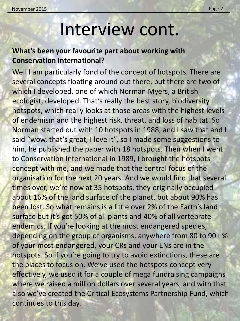November 2015 Page 7 and the United States of the United States and the United States of the Page 7

### Interview cont.

### **What's been your favourite part about working with Conservation International?**

Well I am particularly fond of the concept of hotspots. There are several concepts floating around out there, but there are two of which I developed, one of which Norman Myers, a British ecologist, developed. That's really the best story, biodiversity hotspots, which really looks at those areas with the highest levels of endemism and the highest risk, threat, and loss of habitat. So Norman started out with 10 hotspots in 1988, and I saw that and I said "wow, that's great, I love it", so I made some suggestions to him, he published the paper with 18 hotspots. Then when I went to Conservation International in 1989, I brought the hotspots concept with me, and we made that the central focus of the organisation for the next 20 years. And we would find that several times over, we're now at 35 hotspots, they originally occupied about 16% of the land surface of the planet, but about 90% has been lost. So what remains is a little over 2% of the Earth's land surface but it's got 50% of all plants and 40% of all vertebrate endemics. If you're looking at the most endangered species, depending on the group of organisms, anywhere from 80 to 90+ % of your most endangered, your CRs and your ENs are in the hotspots. So if you're going to try to avoid extinctions, these are the places to focus on. We've used the hotspots concept very effectively, we used it for a couple of mega fundraising campaigns where we raised a million dollars over several years, and with that also we've created the Critical Ecosystems Partnership Fund, which continues to this day.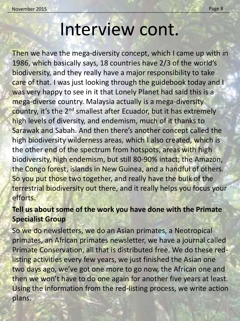### Interview cont.

Then we have the mega-diversity concept, which I came up with in 1986, which basically says, 18 countries have 2/3 of the world's biodiversity, and they really have a major responsibility to take care of that. I was just looking through the guidebook today and I was very happy to see in it that Lonely Planet had said this is a mega-diverse country. Malaysia actually is a mega-diversity country, it's the 2<sup>nd</sup> smallest after Ecuador, but it has extremely high levels of diversity, and endemism, much of it thanks to Sarawak and Sabah. And then there's another concept called the high biodiversity wilderness areas, which I also created, which is the other end of the spectrum from hotspots, areas with high biodiversity, high endemism, but still 80-90% intact; the Amazon, the Congo forest, islands in New Guinea, and a handful of others. So you put those two together, and really have the bulk of the terrestrial biodiversity out there, and it really helps you focus your efforts.

### **Tell us about some of the work you have done with the Primate Specialist Group**

So we do newsletters, we do an Asian primates, a Neotropical primates, an African primates newsletter, we have a journal called Primate Conservation, all that is distributed free. We do these redlisting activities every few years, we just finished the Asian one two days ago, we've got one more to go now, the African one and then we won't have to do one again for another five years at least. Using the information from the red-listing process, we write action plans.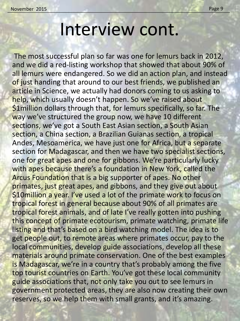### Interview cont.

The most successful plan so far was one for lemurs back in 2012, and we did a red-listing workshop that showed that about 90% of all lemurs were endangered. So we did an action plan, and instead of just handing that around to our best friends, we published an article in Science, we actually had donors coming to us asking to help, which usually doesn't happen. So we've raised about \$1 million dollars through that, for lemurs specifically, so far. The way we've structured the group now, we have 10 different sections, we've got a South East Asian section, a South Asian section, a China section, a Brazilian Guianas section, a tropical Andes, Mesoamerica, we have just one for Africa, but a separate section for Madagascar, and then we have two specialist sections, one for great apes and one for gibbons. We're particularly lucky with apes because there's a foundation in New York, called the Arcus Foundation that is a big supporter of apes. No other primates, just great apes, and gibbons, and they give out about \$10million a year. I've used a lot of the primate work to focus on tropical forest in general because about 90% of all primates are tropical forest animals, and of late I've really gotten into pushing this concept of primate ecotourism, primate watching, primate life listing and that's based on a bird watching model. The idea is to get people out, to remote areas where primates occur, pay to the local communities, develop guide associations, develop all these materials around primate conservation. One of the best examples is Madagascar, we're in a country that's probably among the five top tourist countries on Earth. You've got these local community guide associations that, not only take you out to see lemurs in government protected areas, they are also now creating their own reserves, so we help them with small grants, and it's amazing.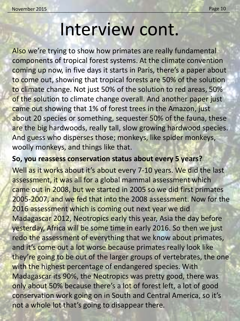### Interview cont.

Also we're trying to show how primates are really fundamental components of tropical forest systems. At the climate convention coming up now, in five days it starts in Paris, there's a paper about to come out, showing that tropical forests are 50% of the solution to climate change. Not just 50% of the solution to red areas, 50% of the solution to climate change overall. And another paper just came out showing that 1% of forest trees in the Amazon, just about 20 species or something, sequester 50% of the fauna, these are the big hardwoods, really tall, slow growing hardwood species. And guess who disperses those; monkeys, like spider monkeys, woolly monkeys, and things like that.

#### **So, you reassess conservation status about every 5 years?**

Well as it works about it's about every 7-10 years. We did the last assessment, it was all for a global mammal assessment which came out in 2008, but we started in 2005 so we did first primates 2005-2007, and we fed that into the 2008 assessment. Now for the 2016 assessment which is coming out next year we did Madagascar 2012, Neotropics early this year, Asia the day before yesterday, Africa will be some time in early 2016. So then we just redo the assessment of everything that we know about primates, and it's come out a lot worse because primates really look like they're going to be out of the larger groups of vertebrates, the one with the highest percentage of endangered species. With Madagascar its 90%, the Neotropics was pretty good, there was only about 50% because there's a lot of forest left, a lot of good conservation work going on in South and Central America, so it's not a whole lot that's going to disappear there.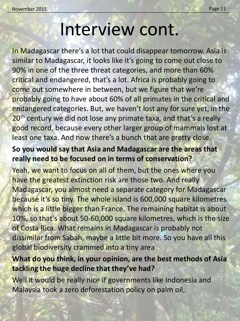### Interview cont.

In Madagascar there's a lot that could disappear tomorrow. Asia is similar to Madagascar, it looks like it's going to come out close to 90% in one of the three threat categories, and more than 60% critical and endangered, that's a lot. Africa is probably going to come out somewhere in between, but we figure that we're probably going to have about 60% of all primates in the critical and endangered categories. But, we haven't lost any for sure yet, in the 20<sup>th</sup> century we did not lose any primate taxa, and that's a really good record, because every other larger group of mammals lost at least one taxa. And now there's a bunch that are pretty close.

### **So you would say that Asia and Madagascar are the areas that really need to be focused on in terms of conservation?**

Yeah, we want to focus on all of them, but the ones where you have the greatest extinction risk are those two. And really Madagascar, you almost need a separate category for Madagascar because it's so tiny. The whole island is 600,000 square kilometres which is a little bigger than France. The remaining habitat is about 10%, so that's about 50-60,000 square kilometres, which is the size of Costa Rica. What remains in Madagascar is probably not dissimilar from Sabah, maybe a little bit more. So you have all this global biodiversity crammed into a tiny area

#### **What do you think, in your opinion, are the best methods of Asia tackling the huge decline that they've had?**

Well it would be really nice if governments like Indonesia and Malaysia took a zero deforestation policy on palm oil,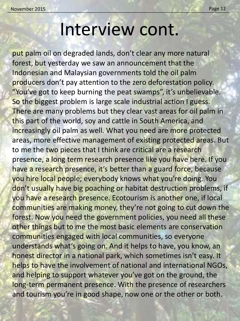### Interview cont.

put palm oil on degraded lands, don't clear any more natural forest, but yesterday we saw an announcement that the Indonesian and Malaysian governments told the oil palm producers don't pay attention to the zero deforestation policy. "You've got to keep burning the peat swamps", it's unbelievable. So the biggest problem is large scale industrial action I guess. There are many problems but they clear vast areas for oil palm in this part of the world, soy and cattle in South America, and increasingly oil palm as well. What you need are more protected areas, more effective management of existing protected areas. But to me the two pieces that I think are critical are a research presence, a long term research presence like you have here. If you have a research presence, it's better than a guard force, because you hire local people; everybody knows what you're doing. You don't usually have big poaching or habitat destruction problems, if you have a research presence. Ecotourism is another one, if local communities are making money, they're not going to cut down the forest. Now you need the government policies, you need all these other things but to me the most basic elements are conservation communities engaged with local communities, so everyone understands what's going on. And it helps to have, you know, an honest director in a national park, which sometimes isn't easy. It helps to have the involvement of national and international NGOs, and helping to support whatever you've got on the ground, the long-term permanent presence. With the presence of researchers and tourism you're in good shape, now one or the other or both.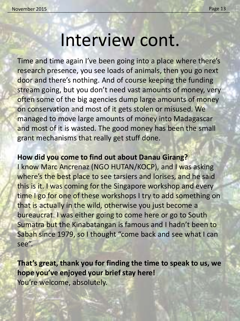### Interview cont.

Time and time again I've been going into a place where there's research presence, you see loads of animals, then you go next door and there's nothing. And of course keeping the funding stream going, but you don't need vast amounts of money, very often some of the big agencies dump large amounts of money on conservation and most of it gets stolen or misused. We managed to move large amounts of money into Madagascar and most of it is wasted. The good money has been the small grant mechanisms that really get stuff done.

#### **How did you come to find out about Danau Girang?**

I know Marc Ancrenaz (NGO HUTAN/KOCP), and I was asking where's the best place to see tarsiers and lorises, and he said this is it. I was coming for the Singapore workshop and every time I go for one of these workshops I try to add something on that is actually in the wild, otherwise you just become a bureaucrat. I was either going to come here or go to South Sumatra but the Kinabatangan is famous and I hadn't been to Sabah since 1979, so I thought "come back and see what I can see".

**That's great, thank you for finding the time to speak to us, we hope you've enjoyed your brief stay here!** You're welcome, absolutely.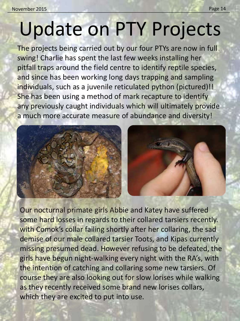# Update on PTY Projects

The projects being carried out by our four PTYs are now in full swing! Charlie has spent the last few weeks installing her pitfall traps around the field centre to identify reptile species, and since has been working long days trapping and sampling individuals, such as a juvenile reticulated python (pictured)!! She has been using a method of mark recapture to identify any previously caught individuals which will ultimately provide a much more accurate measure of abundance and diversity!



Our nocturnal primate girls Abbie and Katey have suffered some hard losses in regards to their collared tarsiers recently. with Comok's collar failing shortly after her collaring, the sad demise of our male collared tarsier Toots, and Kipas currently missing presumed dead. However refusing to be defeated, the girls have begun night-walking every night with the RA's, with the intention of catching and collaring some new tarsiers. Of course they are also looking out for slow lorises while walking as they recently received some brand new lorises collars, which they are excited to put into use.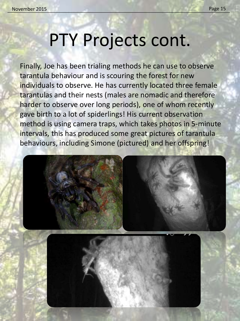## PTY Projects cont.

Finally, Joe has been trialing methods he can use to observe tarantula behaviour and is scouring the forest for new individuals to observe. He has currently located three female tarantulas and their nests (males are nomadic and therefore harder to observe over long periods), one of whom recently gave birth to a lot of spiderlings! His current observation method is using camera traps, which takes photos in 5-minute intervals, this has produced some great pictures of tarantula behaviours, including Simone (pictured) and her offspring!

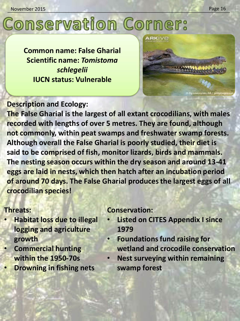# **Conservation Corner:**

**Common name: False Gharial Scientific name:** *Tomistoma schlegelii* **IUCN status: Vulnerable**



### **Description and Ecology:**

**The False Gharial is the largest of all extant crocodilians, with males recorded with lengths of over 5 metres. They are found, although not commonly, within peat swamps and freshwater swamp forests. Although overall the False Gharial is poorly studied, their diet is said to be comprised of fish, monitor lizards, birds and mammals. The nesting season occurs within the dry season and around 13-41 eggs are laid in nests, which then hatch after an incubation period of around 70 days. The False Gharial produces the largest eggs of all crocodilian species!**

#### **Threats:**

- **Habitat loss due to illegal logging and agriculture growth**
- **Commercial hunting within the 1950-70s**
- **Drowning in fishing nets**

#### **Conservation:**

- **Listed on CITES Appendix I since 1979**
- **Foundations fund raising for wetland and crocodile conservation**
- **Nest surveying within remaining swamp forest**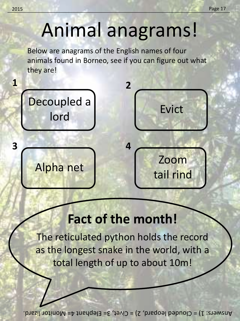# Animal anagrams!

Below are anagrams of the English names of four animals found in Borneo, see if you can figure out what they are!



### **Fact of the month!**

The reticulated python holds the record as the longest snake in the world, with a total length of up to about 10m!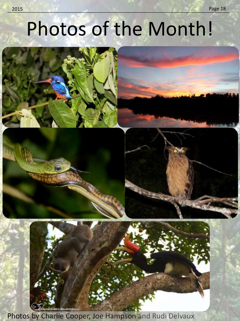# Photos of the Month!





Photos by Charlie Cooper, Joe Hampson and Rudi Delvaux